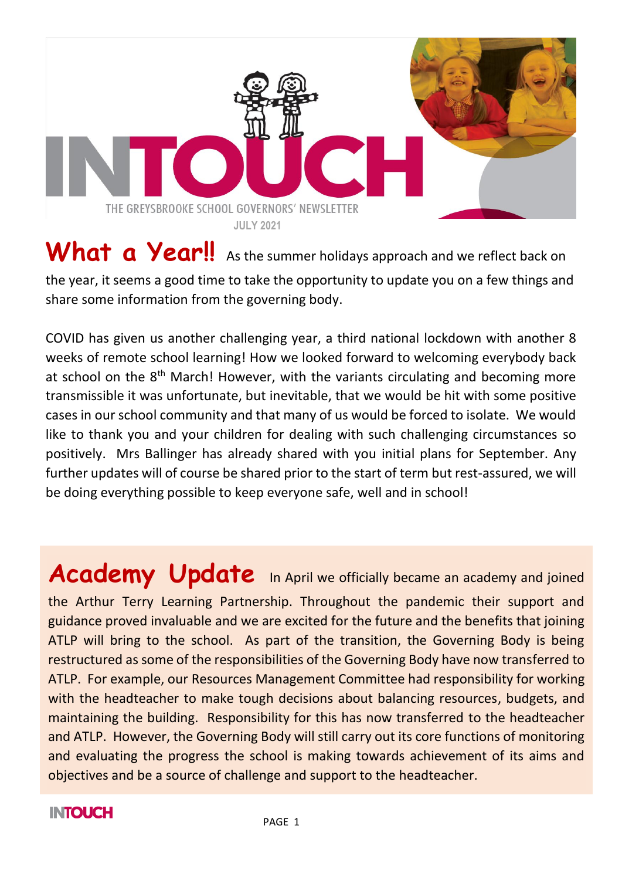

### What a Year!! As the summer holidays approach and we reflect back on the year, it seems a good time to take the opportunity to update you on a few things and share some information from the governing body.

COVID has given us another challenging year, a third national lockdown with another 8 weeks of remote school learning! How we looked forward to welcoming everybody back at school on the 8<sup>th</sup> March! However, with the variants circulating and becoming more transmissible it was unfortunate, but inevitable, that we would be hit with some positive cases in our school community and that many of us would be forced to isolate. We would like to thank you and your children for dealing with such challenging circumstances so positively. Mrs Ballinger has already shared with you initial plans for September. Any further updates will of course be shared prior to the start of term but rest-assured, we will be doing everything possible to keep everyone safe, well and in school!

**Academy Update** In April we officially became an academy and joined the Arthur Terry Learning Partnership. Throughout the pandemic their support and guidance proved invaluable and we are excited for the future and the benefits that joining ATLP will bring to the school. As part of the transition, the Governing Body is being restructured as some of the responsibilities of the Governing Body have now transferred to ATLP. For example, our Resources Management Committee had responsibility for working with the headteacher to make tough decisions about balancing resources, budgets, and maintaining the building. Responsibility for this has now transferred to the headteacher and ATLP. However, the Governing Body will still carry out its core functions of monitoring and evaluating the progress the school is making towards achievement of its aims and objectives and be a source of challenge and support to the headteacher.

### **INTOUCH**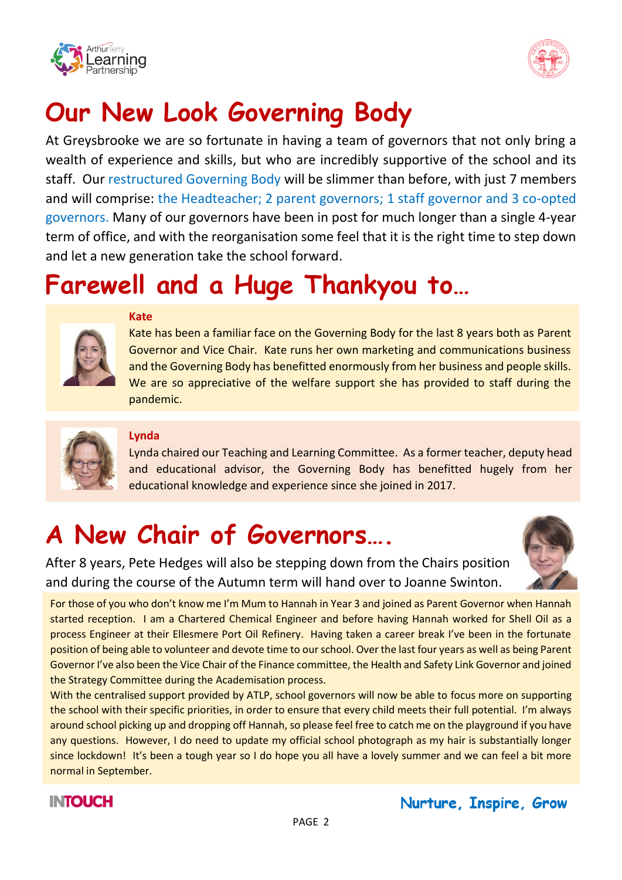



### **Our New Look Governing Body**

At Greysbrooke we are so fortunate in having a team of governors that not only bring a wealth of experience and skills, but who are incredibly supportive of the school and its staff. Our restructured Governing Body will be slimmer than before, with just 7 members and will comprise: the Headteacher; 2 parent governors; 1 staff governor and 3 co-opted governors. Many of our governors have been in post for much longer than a single 4-year term of office, and with the reorganisation some feel that it is the right time to step down and let a new generation take the school forward.

### **Farewell and a Huge Thankyou to…**



#### **Kate**

Kate has been a familiar face on the Governing Body for the last 8 years both as Parent Governor and Vice Chair. Kate runs her own marketing and communications business and the Governing Body has benefitted enormously from her business and people skills. We are so appreciative of the welfare support she has provided to staff during the pandemic.



#### **Lynda**

Lynda chaired our Teaching and Learning Committee. As a former teacher, deputy head and educational advisor, the Governing Body has benefitted hugely from her educational knowledge and experience since she joined in 2017.

## **A New Chair of Governors….**



After 8 years, Pete Hedges will also be stepping down from the Chairs position and during the course of the Autumn term will hand over to Joanne Swinton.

For those of you who don't know me I'm Mum to Hannah in Year 3 and joined as Parent Governor when Hannah started reception. I am a Chartered Chemical Engineer and before having Hannah worked for Shell Oil as a process Engineer at their Ellesmere Port Oil Refinery. Having taken a career break I've been in the fortunate position of being able to volunteer and devote time to our school. Over the last four years as well as being Parent Governor I've also been the Vice Chair of the Finance committee, the Health and Safety Link Governor and joined the Strategy Committee during the Academisation process.

With the centralised support provided by ATLP, school governors will now be able to focus more on supporting the school with their specific priorities, in order to ensure that every child meets their full potential. I'm always around school picking up and dropping off Hannah, so please feel free to catch me on the playground if you have any questions. However, I do need to update my official school photograph as my hair is substantially longer since lockdown! It's been a tough year so I do hope you all have a lovely summer and we can feel a bit more normal in September.